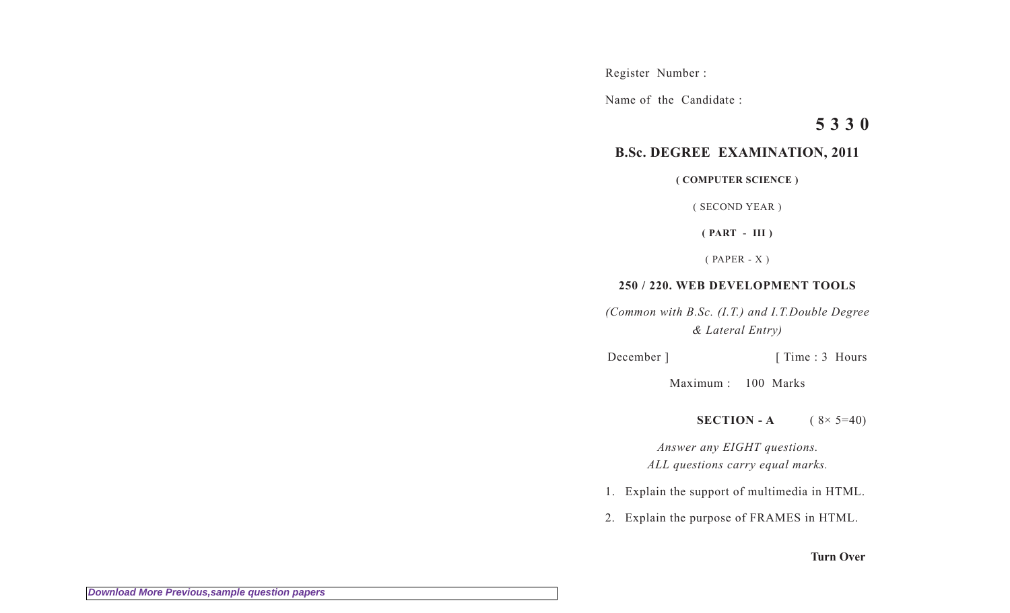Register Number :

Name of the Candidate :

**5 3 3 0**

## **B.Sc. DEGREE EXAMINATION, 2011**

**( COMPUTER SCIENCE )**

( SECOND YEAR )

**( PART - III )**

( PAPER - X )

## **250 / 220. WEB DEVELOPMENT TOOLS**

*(Common with B.Sc. (I.T.) and I.T.Double Degree & Lateral Entry)*

December ] [ Time : 3 Hours

Maximum : 100 Marks

**SECTION - A**  $(8 \times 5 = 40)$ 

*Answer any EIGHT questions. ALL questions carry equal marks.*

- 1. Explain the support of multimedia in HTML.
- 2. Explain the purpose of FRAMES in HTML.

## **Turn Over**